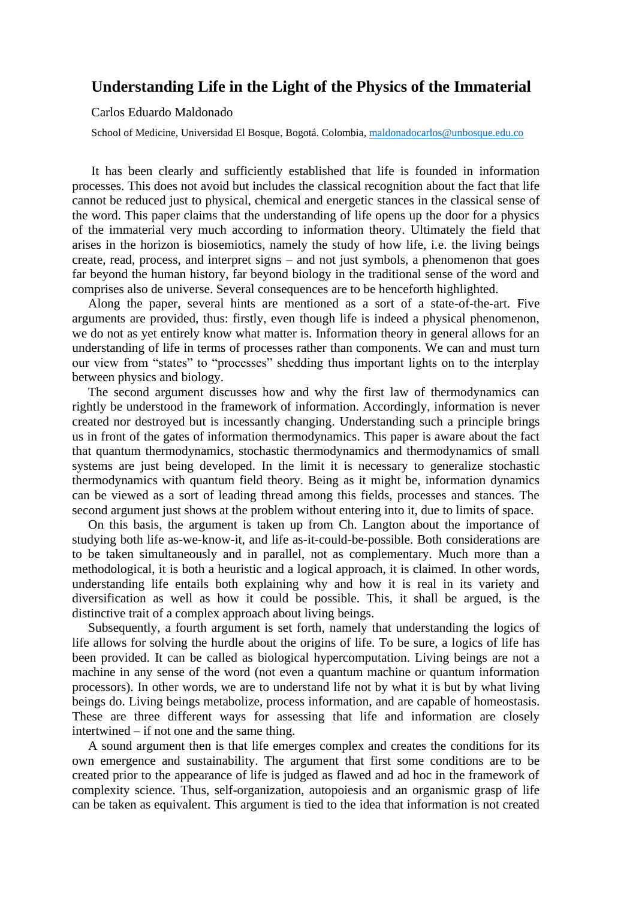## **Understanding Life in the Light of the Physics of the Immaterial**

Carlos Eduardo Maldonado

School of Medicine, Universidad El Bosque, Bogotá. Colombia[, maldonadocarlos@unbosque.edu.co](mailto:maldonadocarlos@unbosque.edu.co)

 It has been clearly and sufficiently established that life is founded in information processes. This does not avoid but includes the classical recognition about the fact that life cannot be reduced just to physical, chemical and energetic stances in the classical sense of the word. This paper claims that the understanding of life opens up the door for a physics of the immaterial very much according to information theory. Ultimately the field that arises in the horizon is biosemiotics, namely the study of how life, i.e. the living beings create, read, process, and interpret signs – and not just symbols, a phenomenon that goes far beyond the human history, far beyond biology in the traditional sense of the word and comprises also de universe. Several consequences are to be henceforth highlighted.

 Along the paper, several hints are mentioned as a sort of a state-of-the-art. Five arguments are provided, thus: firstly, even though life is indeed a physical phenomenon, we do not as yet entirely know what matter is. Information theory in general allows for an understanding of life in terms of processes rather than components. We can and must turn our view from "states" to "processes" shedding thus important lights on to the interplay between physics and biology.

 The second argument discusses how and why the first law of thermodynamics can rightly be understood in the framework of information. Accordingly, information is never created nor destroyed but is incessantly changing. Understanding such a principle brings us in front of the gates of information thermodynamics. This paper is aware about the fact that quantum thermodynamics, stochastic thermodynamics and thermodynamics of small systems are just being developed. In the limit it is necessary to generalize stochastic thermodynamics with quantum field theory. Being as it might be, information dynamics can be viewed as a sort of leading thread among this fields, processes and stances. The second argument just shows at the problem without entering into it, due to limits of space.

 On this basis, the argument is taken up from Ch. Langton about the importance of studying both life as-we-know-it, and life as-it-could-be-possible. Both considerations are to be taken simultaneously and in parallel, not as complementary. Much more than a methodological, it is both a heuristic and a logical approach, it is claimed. In other words, understanding life entails both explaining why and how it is real in its variety and diversification as well as how it could be possible. This, it shall be argued, is the distinctive trait of a complex approach about living beings.

 Subsequently, a fourth argument is set forth, namely that understanding the logics of life allows for solving the hurdle about the origins of life. To be sure, a logics of life has been provided. It can be called as biological hypercomputation. Living beings are not a machine in any sense of the word (not even a quantum machine or quantum information processors). In other words, we are to understand life not by what it is but by what living beings do. Living beings metabolize, process information, and are capable of homeostasis. These are three different ways for assessing that life and information are closely intertwined – if not one and the same thing.

 A sound argument then is that life emerges complex and creates the conditions for its own emergence and sustainability. The argument that first some conditions are to be created prior to the appearance of life is judged as flawed and ad hoc in the framework of complexity science. Thus, self-organization, autopoiesis and an organismic grasp of life can be taken as equivalent. This argument is tied to the idea that information is not created